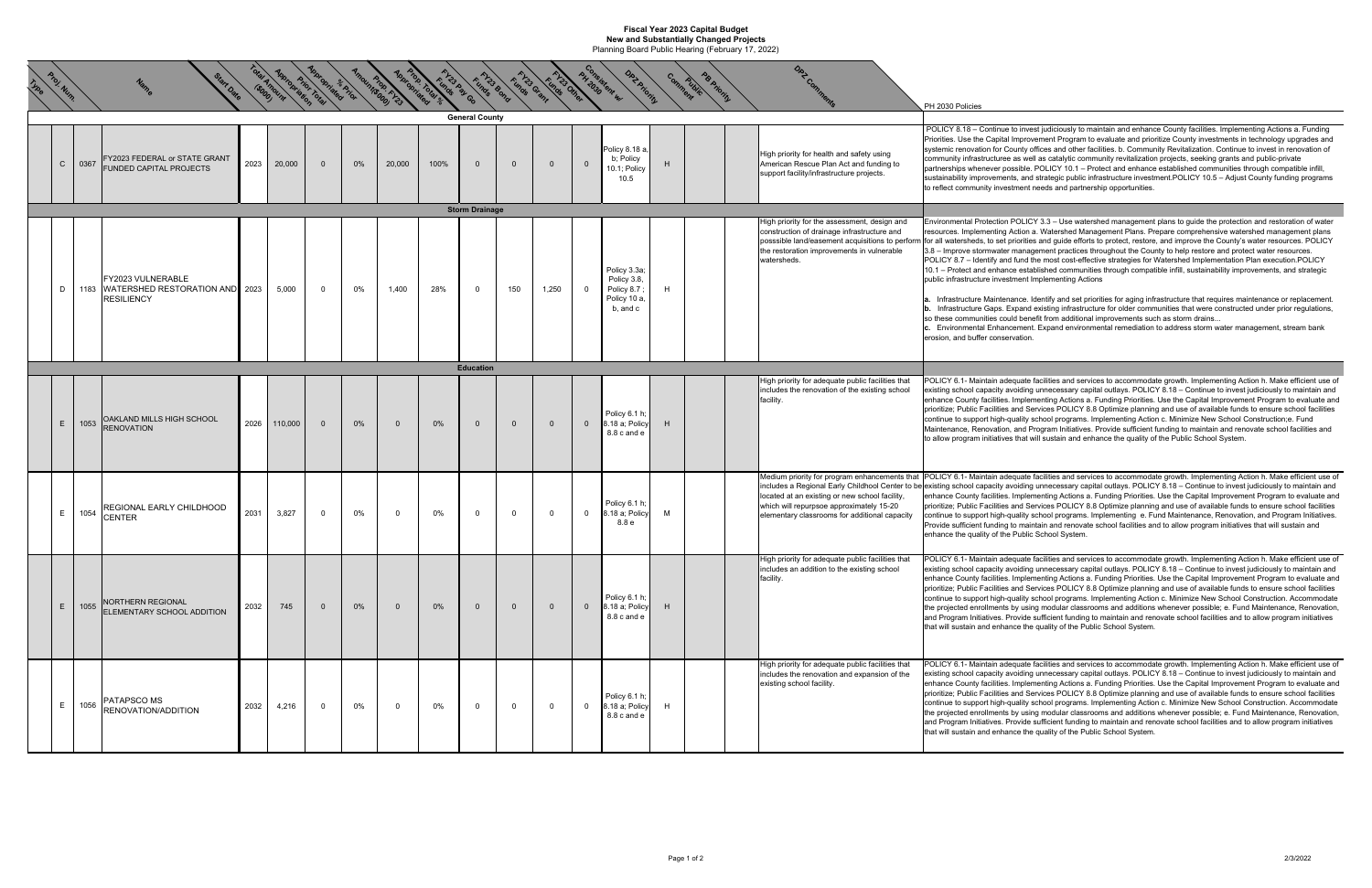## **Fiscal Year 2023 Capital Budget New and Substantially Changed Projects** Planning Board Public Hearing (February 17, 2022)

 $\chi^2_{\rho_{\scriptscriptstyle (\!\varsigma\!)}}$ 

**Proj. Num. Name Start Date** tois American Margaret Maria Marca Carlos de Carlos de la Carlos de La Carlos de La Company de Paris de Company de Company de Company de Company de Company de Company de Company de la Carlos de Company de Carlos de Carlos PH 2030 Policies  $C \mid 0367$  FY2023 FEDERAL or STATE GRANT FUNDED CAPITAL PROJECTS2023 20,000 0 0% 20,000 100% 0 0 0 0 0 plicy 8.18 a b; Policy 10.1; Policy 10.5HHigh priority for health and safety using American Rescue Plan Act and funding to support facility/infrastructure projects. D 1183 FY2023 VULNERABLE WATERSHED RESTORATION AND RESILIENCY2023 | 5,000 | 0 | 0% | 1,400 | 28% | 0 | 150 | 1,250 | 0 Policy 3.3a; Policy 3.8, Policy 8.7 ; Policy 10 a, b, and c HHigh priority for the assessment, design and construction of drainage infrastructure and posssible land/easement acquisitions to perform the restoration improvements in vulnerable watersheds. $\mathsf{E}$  | 1053 | OAKLAND MILLS HIGH SCHOOL<br>RENOVATION <sup>2026</sup> 110,000 <sup>0</sup> 0% <sup>0</sup> 0% <sup>0</sup> <sup>0</sup> <sup>0</sup> <sup>0</sup> Policy 6.1 h; 8.18 a; Policy 8.8 c and e $\begin{array}{|c|c|c|c|}\n 8.18 \text{ a; Policy} & \text{H} \\
8.8 \text{ c and e} & \end{array}$ High priority for adequate public facilities that includes the renovation of the existing school facility. E 1054REGIONAL EARLY CHILDHOOD NAL EARLY CHILDHOOD 2031 3,827 0 0% 0 0% 0 0 0 0 0 0 8.18 a; Policy 6.1 h;<br>R  $8.18$  a; Policy M<br> $8.8$  e Medium priority for program enhancements that |POLICY 6.1- Maintain adequate facilities and services to accommodate growth. Implementing Action h. Make efficient use of includes a Regional Early Childhool Center to be|existing school capacity avoiding unnecessary capital outlays. POLICY 8.18 – Continue to invest judiciously to maintain and located at an existing or new school facility, which will repurpsoe approximately 15-20 ementary classrooms for additional capacity E | 1055 |NORTHERN REGIONAL<br>ELEMENTARY SCHOOL ADDITION <sup>2032</sup> <sup>745</sup> <sup>0</sup> 0% <sup>0</sup> 0% <sup>0</sup> <sup>0</sup> <sup>0</sup> <sup>0</sup> Policy 6.1 h; 8.18 a; Policy 8.8 c and e $\begin{array}{|c|c|c|c|}\n 8.18 \text{ a; Policy} & \text{H} \\
8.8 \text{ c and e} & \end{array}$ High priority for adequate public facilities that includes an addition to the existing school facility.  $E$  1056 PATAPSCO MS<br>RENOVATION/ADDITION <sup>2032</sup> 4,216 <sup>0</sup> 0% <sup>0</sup> 0% <sup>0</sup> <sup>0</sup> <sup>0</sup> <sup>0</sup> Policy 6.1 h; 8.18 a; Policy 8.8 c and e $8.18$  a; Policy  $H$ <br> $8.8$  c and e High priority for adequate public facilities that includes the renovation and expansion of the existing school facility. **General County EducationStorm Drainage** Environmental Protection POLICY 3.3 – Use watershed management plans to guide the protection and restoration of water resources. Implementing Action a. Watershed Management Plans. Prepare comprehensive watershed management plans for all watersheds, to set priorities and guide efforts to protect, restore, and improve the County's water resources. POLICY 3.8 – Improve stormwater management practices throughout the County to help restore and protect water resources. POLICY 8.7 – Identify and fund the most cost-effective strategies for Watershed Implementation Plan execution.POLICY 10.1 – Protect and enhance established communities through compatible infill, sustainability improvements, and strategic public infrastructure investment Implementing Actions **a.** Infrastructure Maintenance. Identify and set priorities for aging infrastructure that requires maintenance or replacement. **b.** Infrastructure Gaps. Expand existing infrastructure for older communities that were constructed under prior regulations, so these communities could benefit from additional improvements such as storm drains... **c.** Environmental Enhancement. Expand environmental remediation to address storm water management, stream bank erosion, and buffer conservation. POLICY 6.1- Maintain adequate facilities and services to accommodate growth. Implementing Action h. Make efficient use of existing school capacity avoiding unnecessary capital outlays. POLICY 8.18 – Continue to invest judiciously to maintain and enhance County facilities. Implementing Actions a. Funding Priorities. Use the Capital Improvement Program to evaluate and prioritize; Public Facilities and Services POLICY 8.8 Optimize planning and use of available funds to ensure school facilities continue to support high-quality school programs. Implementing Action c. Minimize New School Construction;e. Fund Maintenance, Renovation, and Program Initiatives. Provide sufficient funding to maintain and renovate school facilities and to allow program initiatives that will sustain and enhance the quality of the Public School System. enhance County facilities. Implementing Actions a. Funding Priorities. Use the Capital Improvement Program to evaluate and prioritize; Public Facilities and Services POLICY 8.8 Optimize planning and use of available funds to ensure school facilities continue to support high-quality school programs. Implementing e. Fund Maintenance, Renovation, and Program Initiatives. Provide sufficient funding to maintain and renovate school facilities and to allow program initiatives that will sustain and enhance the quality of the Public School System. POLICY 6.1- Maintain adequate facilities and services to accommodate growth. Implementing Action h. Make efficient use of existing school capacity avoiding unnecessary capital outlays. POLICY 8.18 – Continue to invest judiciously to maintain and enhance County facilities. Implementing Actions a. Funding Priorities. Use the Capital Improvement Program to evaluate and prioritize; Public Facilities and Services POLICY 8.8 Optimize planning and use of available funds to ensure school facilities continue to support high-quality school programs. Implementing Action c. Minimize New School Construction. Accommodate the projected enrollments by using modular classrooms and additions whenever possible; e. Fund Maintenance, Renovation, and Program Initiatives. Provide sufficient funding to maintain and renovate school facilities and to allow program initiatives that will sustain and enhance the quality of the Public School System. POLICY 6.1- Maintain adequate facilities and services to accommodate growth. Implementing Action h. Make efficient use of existing school capacity avoiding unnecessary capital outlays. POLICY 8.18 – Continue to invest judiciously to maintain and enhance County facilities. Implementing Actions a. Funding Priorities. Use the Capital Improvement Program to evaluate and prioritize; Public Facilities and Services POLICY 8.8 Optimize planning and use of available funds to ensure school facilities continue to support high-quality school programs. Implementing Action c. Minimize New School Construction. Accommodate the projected enrollments by using modular classrooms and additions whenever possible; e. Fund Maintenance, Renovation, and Program Initiatives. Provide sufficient funding to maintain and renovate school facilities and to allow program initiatives that will sustain and enhance the quality of the Public School System. POLICY 8.18 – Continue to invest judiciously to maintain and enhance County facilities. Implementing Actions a. Funding Priorities. Use the Capital Improvement Program to evaluate and prioritize County investments in technology upgrades and systemic renovation for County offices and other facilities. b. Community Revitalization. Continue to invest in renovation of community infrastructuree as well as catalytic community revitalization projects, seeking grants and public-private partnerships whenever possible. POLICY 10.1 – Protect and enhance established communities through compatible infill, sustainability improvements, and strategic public infrastructure investment.POLICY 10.5 – Adjust County funding programs to reflect community investment needs and partnership opportunities.